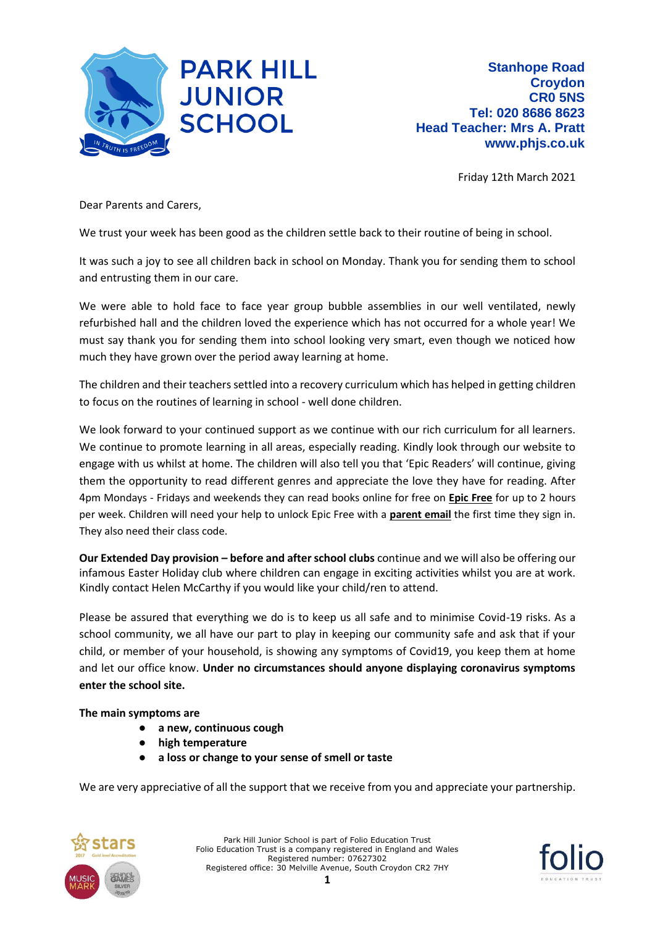

Friday 12th March 2021

Dear Parents and Carers,

We trust your week has been good as the children settle back to their routine of being in school.

It was such a joy to see all children back in school on Monday. Thank you for sending them to school and entrusting them in our care.

We were able to hold face to face year group bubble assemblies in our well ventilated, newly refurbished hall and the children loved the experience which has not occurred for a whole year! We must say thank you for sending them into school looking very smart, even though we noticed how much they have grown over the period away learning at home.

The children and their teachers settled into a recovery curriculum which has helped in getting children to focus on the routines of learning in school - well done children.

We look forward to your continued support as we continue with our rich curriculum for all learners. We continue to promote learning in all areas, especially reading. Kindly look through our website to engage with us whilst at home. The children will also tell you that 'Epic Readers' will continue, giving them the opportunity to read different genres and appreciate the love they have for reading. After 4pm Mondays - Fridays and weekends they can read books online for free on **Epic Free** for up to 2 hours per week. Children will need your help to unlock Epic Free with a **parent email** the first time they sign in. They also need their class code.

**Our Extended Day provision – before and after school clubs** continue and we will also be offering our infamous Easter Holiday club where children can engage in exciting activities whilst you are at work. Kindly contact Helen McCarthy if you would like your child/ren to attend.

Please be assured that everything we do is to keep us all safe and to minimise Covid-19 risks. As a school community, we all have our part to play in keeping our community safe and ask that if your child, or member of your household, is showing any symptoms of Covid19, you keep them at home and let our office know. **Under no circumstances should anyone displaying coronavirus symptoms enter the school site.**

**The main symptoms are** 

- **a new, continuous cough**
- **high temperature**
- a loss or change to your sense of smell or taste

We are very appreciative of all the support that we receive from you and appreciate your partnership.